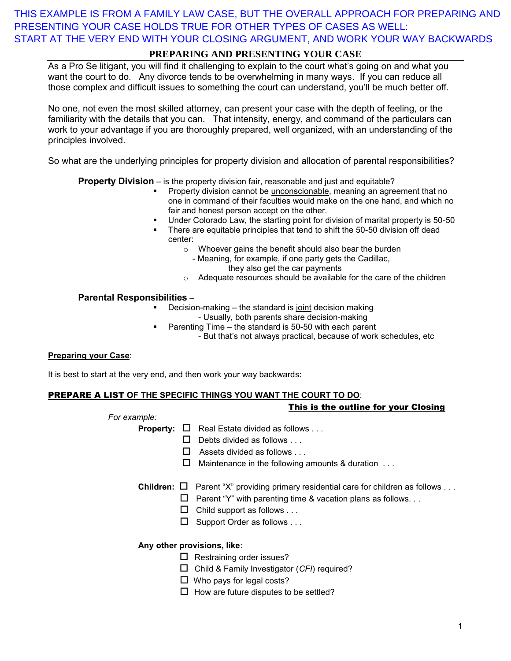THIS EXAMPLE IS FROM A FAMILY LAW CASE, BUT THE OVERALL APPROACH FOR PREPARING AND PRESENTING YOUR CASE HOLDS TRUE FOR OTHER TYPES OF CASES AS WELL: START AT THE VERY END WITH YOUR CLOSING ARGUMENT, AND WORK YOUR WAY BACKWARDS

# **PREPARING AND PRESENTING YOUR CASE**

As a Pro Se litigant, you will find it challenging to explain to the court what's going on and what you want the court to do. Any divorce tends to be overwhelming in many ways. If you can reduce all those complex and difficult issues to something the court can understand, you'll be much better off.

No one, not even the most skilled attorney, can present your case with the depth of feeling, or the familiarity with the details that you can. That intensity, energy, and command of the particulars can work to your advantage if you are thoroughly prepared, well organized, with an understanding of the principles involved.

So what are the underlying principles for property division and allocation of parental responsibilities?

#### **Property Division** – is the property division fair, reasonable and just and equitable?

- Property division cannot be unconscionable, meaning an agreement that no one in command of their faculties would make on the one hand, and which no fair and honest person accept on the other.
- Under Colorado Law, the starting point for division of marital property is 50-50
- **There are equitable principles that tend to shift the 50-50 division off dead** center:
	- o Whoever gains the benefit should also bear the burden
		- Meaning, for example, if one party gets the Cadillac,
			- they also get the car payments
	- o Adequate resources should be available for the care of the children

#### **Parental Responsibilities** –

- Decision-making the standard is joint decision making - Usually, both parents share decision-making
- Parenting Time the standard is 50-50 with each parent - But that's not always practical, because of work schedules, etc

#### **Preparing your Case**:

It is best to start at the very end, and then work your way backwards:

### PREPARE A LIST **OF THE SPECIFIC THINGS YOU WANT THE COURT TO DO**:

#### This is the outline for your Closing

*For example:* 

- **Property:**  $\Box$  Real Estate divided as follows ...
	- $\Box$  Debts divided as follows . . .
		- $\Box$  Assets divided as follows . . .
		- $\Box$  Maintenance in the following amounts & duration  $\dots$

**Children:**  $\Box$  Parent "X" providing primary residential care for children as follows . . .

- $\Box$  Parent "Y" with parenting time & vacation plans as follows...
- $\Box$  Child support as follows . . .
- $\Box$  Support Order as follows ...

#### **Any other provisions, like**:

- $\Box$  Restraining order issues?
- Child & Family Investigator (*CFI*) required?
- $\Box$  Who pays for legal costs?
- $\Box$  How are future disputes to be settled?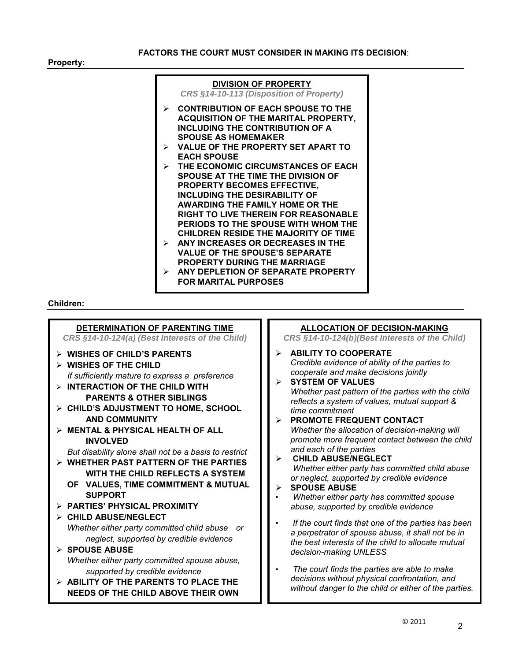**Property:**



#### **Children:**

l



### **ALLOCATION OF DECISION-MAKING**

*CRS §14-10-124(b)(Best Interests of the Child)*

- **ABILITY TO COOPERATE** *Credible evidence of ability of the parties to cooperate and make decisions jointly*
- **SYSTEM OF VALUES**  *Whether past pattern of the parties with the child reflects a system of values, mutual support & time commitment* **PROMOTE FREQUENT CONTACT**
	- *Whether the allocation of decision-making will promote more frequent contact between the child and each of the parties*
- **CHILD ABUSE/NEGLECT** *Whether either party has committed child abuse or neglect, supported by credible evidence*

#### **SPOUSE ABUSE**

- *Whether either party has committed spouse abuse, supported by credible evidence*
- *If the court finds that one of the parties has been a perpetrator of spouse abuse, it shall not be in the best interests of the child to allocate mutual decision-making UNLESS*
- *The court finds the parties are able to make decisions without physical confrontation, and without danger to the child or either of the parties.*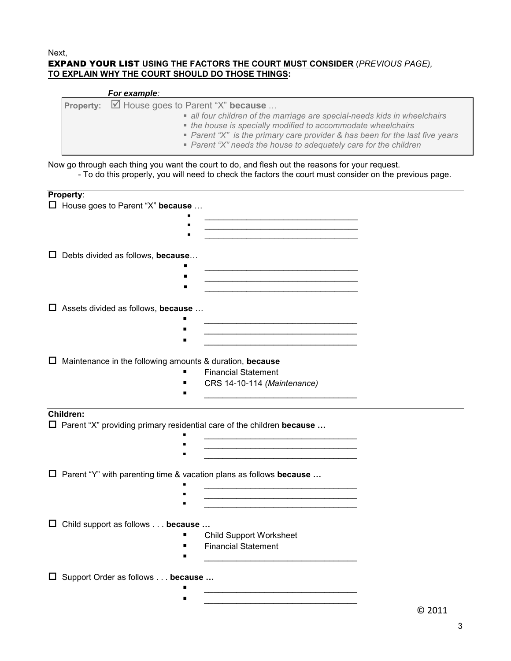#### Next, EXPAND YOUR LIST **USING THE FACTORS THE COURT MUST CONSIDER** (*PREVIOUS PAGE),* **TO EXPLAIN WHY THE COURT SHOULD DO THOSE THINGS:**

| For example:                                                                                                                                                                                                                                                                                                                                         |
|------------------------------------------------------------------------------------------------------------------------------------------------------------------------------------------------------------------------------------------------------------------------------------------------------------------------------------------------------|
| Property: <b>■</b> House goes to Parent "X" because<br>• all four children of the marriage are special-needs kids in wheelchairs<br>• the house is specially modified to accommodate wheelchairs<br>• Parent "X" is the primary care provider & has been for the last five years<br>• Parent "X" needs the house to adequately care for the children |

Now go through each thing you want the court to do, and flesh out the reasons for your request. - To do this properly, you will need to check the factors the court must consider on the previous page.

| Property:                                                                    |                                                                                                                        |  |  |
|------------------------------------------------------------------------------|------------------------------------------------------------------------------------------------------------------------|--|--|
| $\square$ House goes to Parent "X" because                                   |                                                                                                                        |  |  |
|                                                                              |                                                                                                                        |  |  |
|                                                                              | <u> 1919 - Johann John Harry Harry Harry Harry Harry Harry Harry Harry Harry Harry Harry Harry Harry Harry Harry H</u> |  |  |
|                                                                              |                                                                                                                        |  |  |
| Debts divided as follows, because<br>ப                                       |                                                                                                                        |  |  |
|                                                                              |                                                                                                                        |  |  |
| ▪                                                                            | the control of the control of the control of the control of the control of                                             |  |  |
|                                                                              |                                                                                                                        |  |  |
|                                                                              |                                                                                                                        |  |  |
| $\Box$ Assets divided as follows, because                                    |                                                                                                                        |  |  |
|                                                                              |                                                                                                                        |  |  |
|                                                                              | <u> 1989 - Johann John Stone, market eta industrial eta industrial eta industrial eta industrial eta industrial e</u>  |  |  |
|                                                                              |                                                                                                                        |  |  |
| Maintenance in the following amounts & duration, because<br>ப                |                                                                                                                        |  |  |
|                                                                              | <b>Financial Statement</b>                                                                                             |  |  |
|                                                                              | CRS 14-10-114 (Maintenance)                                                                                            |  |  |
|                                                                              | the control of the control of the control of the control of                                                            |  |  |
| Children:                                                                    |                                                                                                                        |  |  |
| $\Box$ Parent "X" providing primary residential care of the children because |                                                                                                                        |  |  |
|                                                                              |                                                                                                                        |  |  |
|                                                                              |                                                                                                                        |  |  |
|                                                                              |                                                                                                                        |  |  |
|                                                                              |                                                                                                                        |  |  |
|                                                                              |                                                                                                                        |  |  |
| $\square$ Parent "Y" with parenting time & vacation plans as follows because |                                                                                                                        |  |  |
|                                                                              |                                                                                                                        |  |  |
|                                                                              | <u> 1950 - Johann John Barn, mars an t-Amerikaansk komponister (</u>                                                   |  |  |
|                                                                              |                                                                                                                        |  |  |
| Child support as follows because<br>ப                                        |                                                                                                                        |  |  |
|                                                                              | <b>Child Support Worksheet</b>                                                                                         |  |  |
|                                                                              | <b>Financial Statement</b>                                                                                             |  |  |
|                                                                              |                                                                                                                        |  |  |
| Support Order as follows because<br>ப                                        |                                                                                                                        |  |  |

 *\_\_\_\_\_\_\_\_\_\_\_\_\_\_\_\_\_\_\_\_\_\_\_\_\_\_\_\_\_\_\_\_\_*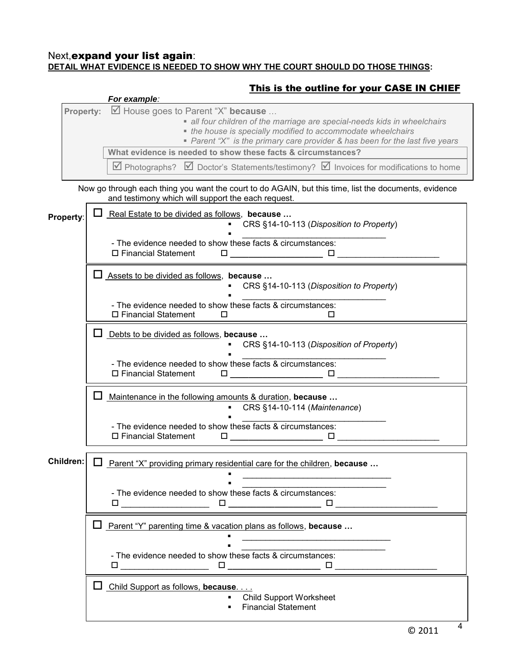### Next,expand your list again: **DETAIL WHAT EVIDENCE IS NEEDED TO SHOW WHY THE COURT SHOULD DO THOSE THINGS:**

# This is the outline for your CASE IN CHIEF



4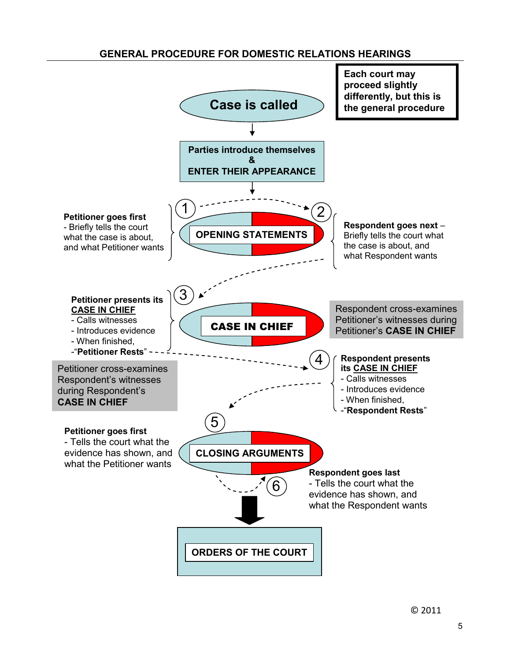# **GENERAL PROCEDURE FOR DOMESTIC RELATIONS HEARINGS**



© 2011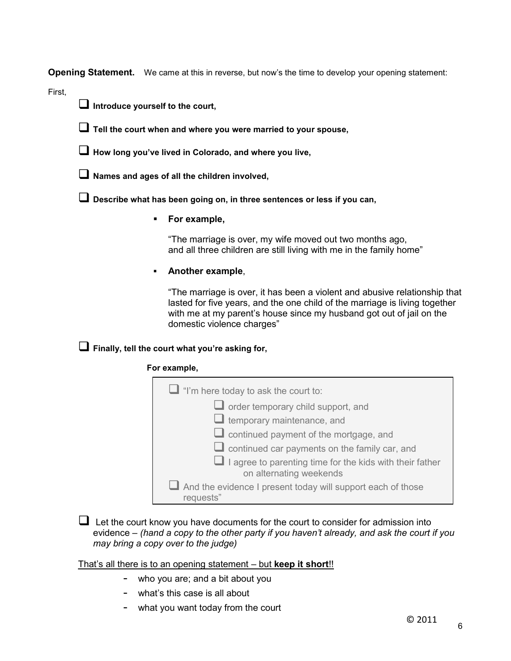**Opening Statement.** We came at this in reverse, but now's the time to develop your opening statement:

First,

**Introduce yourself to the court,** 



**How long you've lived in Colorado, and where you live,** 

**Names and ages of all the children involved,** 

**Describe what has been going on, in three sentences or less if you can,** 

**For example,** 

"The marriage is over, my wife moved out two months ago, and all three children are still living with me in the family home"

### **Another example**,

 "The marriage is over, it has been a violent and abusive relationship that lasted for five years, and the one child of the marriage is living together with me at my parent's house since my husband got out of jail on the domestic violence charges"

# **Finally, tell the court what you're asking for,**

### **For example,**

| $\Box$ "I'm here today to ask the court to:                                                |  |  |
|--------------------------------------------------------------------------------------------|--|--|
| $\Box$ order temporary child support, and                                                  |  |  |
| $\Box$ temporary maintenance, and                                                          |  |  |
| $\Box$ continued payment of the mortgage, and                                              |  |  |
| $\Box$ continued car payments on the family car, and                                       |  |  |
| $\Box$ I agree to parenting time for the kids with their father<br>on alternating weekends |  |  |
| $\Box$ And the evidence I present today will support each of those<br>requests"            |  |  |

 $\Box$  Let the court know you have documents for the court to consider for admission into evidence – *(hand a copy to the other party if you haven't already, and ask the court if you may bring a copy over to the judge)*

### That's all there is to an opening statement – but **keep it short**!!

- who you are; and a bit about you
- what's this case is all about
- what you want today from the court